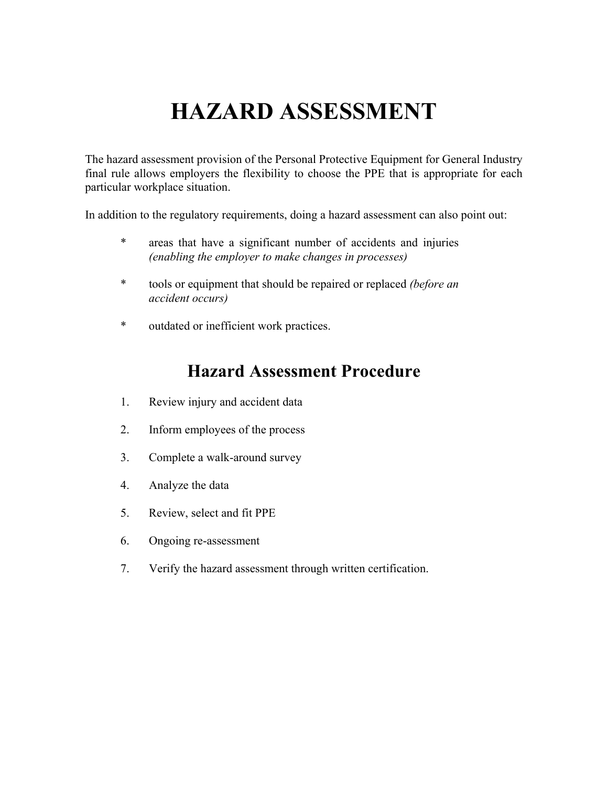# **HAZARD ASSESSMENT**

The hazard assessment provision of the Personal Protective Equipment for General Industry final rule allows employers the flexibility to choose the PPE that is appropriate for each particular workplace situation.

In addition to the regulatory requirements, doing a hazard assessment can also point out:

- \* areas that have a significant number of accidents and injuries *(enabling the employer to make changes in processes)*
- \* tools or equipment that should be repaired or replaced *(before an accident occurs)*
- \* outdated or inefficient work practices.

### **Hazard Assessment Procedure**

- 1. Review injury and accident data
- 2. Inform employees of the process
- 3. Complete a walk-around survey
- 4. Analyze the data
- 5. Review, select and fit PPE
- 6. Ongoing re-assessment
- 7. Verify the hazard assessment through written certification.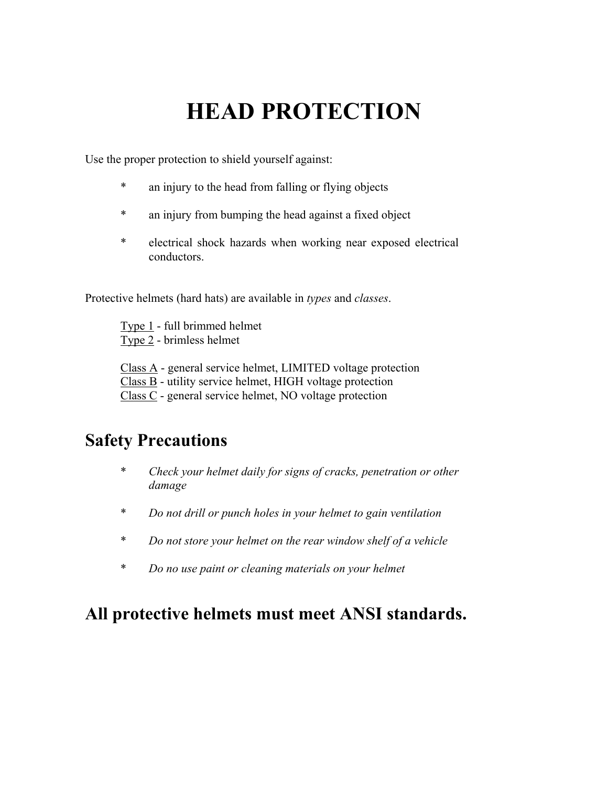# **HEAD PROTECTION**

Use the proper protection to shield yourself against:

- \* an injury to the head from falling or flying objects
- \* an injury from bumping the head against a fixed object
- \* electrical shock hazards when working near exposed electrical conductors.

Protective helmets (hard hats) are available in *types* and *classes*.

Type 1 - full brimmed helmet Type 2 - brimless helmet

Class A - general service helmet, LIMITED voltage protection

Class B - utility service helmet, HIGH voltage protection

Class C - general service helmet, NO voltage protection

### **Safety Precautions**

- \* *Check your helmet daily for signs of cracks, penetration or other damage*
- \* *Do not drill or punch holes in your helmet to gain ventilation*
- \* *Do not store your helmet on the rear window shelf of a vehicle*
- \* *Do no use paint or cleaning materials on your helmet*

### **All protective helmets must meet ANSI standards.**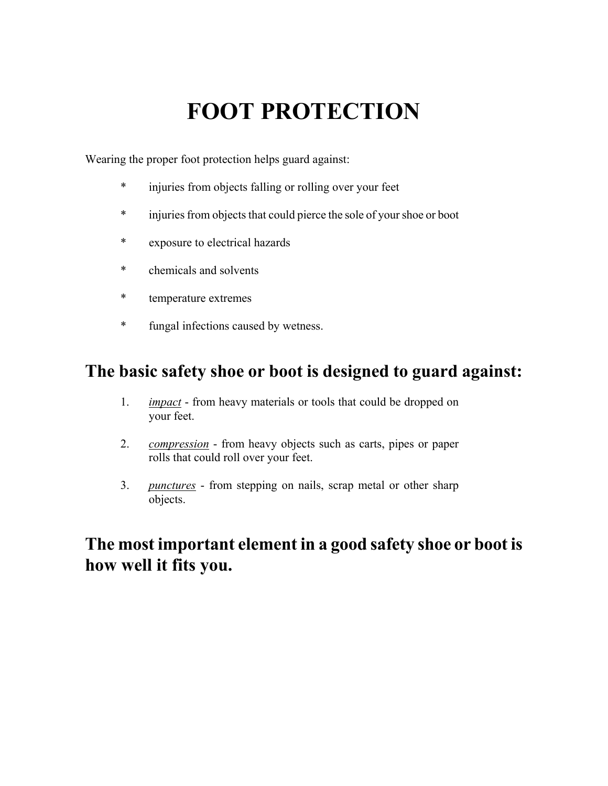# **FOOT PROTECTION**

Wearing the proper foot protection helps guard against:

- \* injuries from objects falling or rolling over your feet
- \* injuries from objects that could pierce the sole of your shoe or boot
- \* exposure to electrical hazards
- \* chemicals and solvents
- \* temperature extremes
- \* fungal infections caused by wetness.

### **The basic safety shoe or boot is designed to guard against:**

- 1. *impact* from heavy materials or tools that could be dropped on your feet.
- 2. *compression* from heavy objects such as carts, pipes or paper rolls that could roll over your feet.
- 3. *punctures* from stepping on nails, scrap metal or other sharp objects.

### **The most important element in a good safety shoe or boot is how well it fits you.**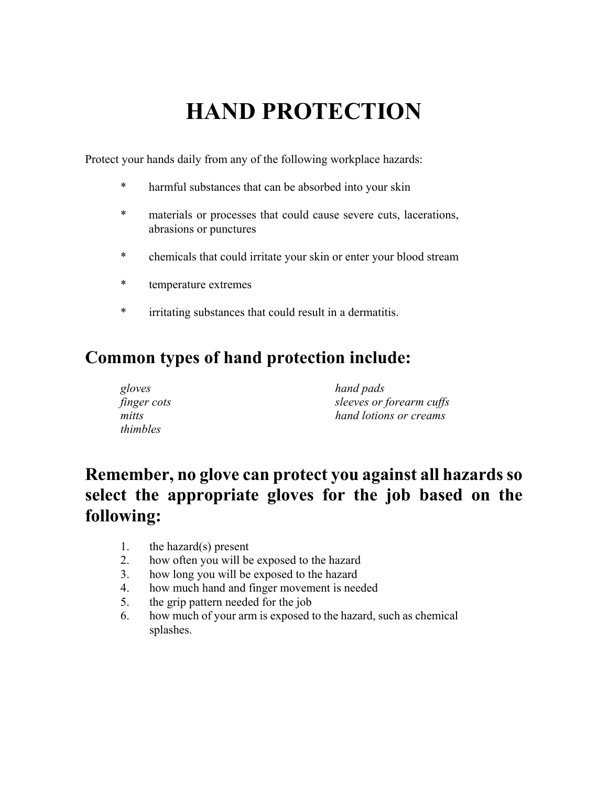# **HAND PROTECTION**

Protect your hands daily from any of the following workplace hazards:

- \* harmful substances that can be absorbed into your skin
- \* materials or processes that could cause severe cuts, lacerations, abrasions or punctures
- \* chemicals that could irritate your skin or enter your blood stream
- \* temperature extremes
- \* irritating substances that could result in a dermatitis.

### **Common types of hand protection include:**

| gloves      | hand pads                |
|-------------|--------------------------|
| finger cots | sleeves or forearm cuffs |
| mitts       | hand lotions or creams   |
| thimbles    |                          |

### **Remember, no glove can protect you against all hazards so select the appropriate gloves for the job based on the following:**

- 1. the hazard(s) present
- 2. how often you will be exposed to the hazard
- 3. how long you will be exposed to the hazard
- 4. how much hand and finger movement is needed
- 5. the grip pattern needed for the job
- 6. how much of your arm is exposed to the hazard, such as chemical splashes.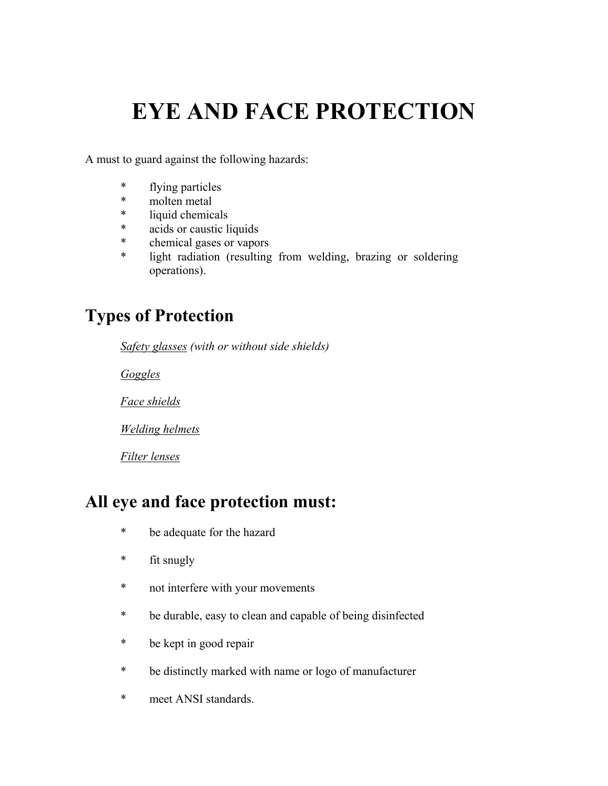## **EYE AND FACE PROTECTION**

A must to guard against the following hazards:

- \* flying particles
- \* molten metal
- \* liquid chemicals
- \* acids or caustic liquids
- \* chemical gases or vapors
- \* light radiation (resulting from welding, brazing or soldering operations).

### **Types of Protection**

*Safety glasses (with or without side shields)* 

*Goggles*

*Face shields*

*Welding helmets*

*Filter lenses*

### **All eye and face protection must:**

- \* be adequate for the hazard
- \* fit snugly
- \* not interfere with your movements
- \* be durable, easy to clean and capable of being disinfected
- \* be kept in good repair
- \* be distinctly marked with name or logo of manufacturer
- \* meet ANSI standards.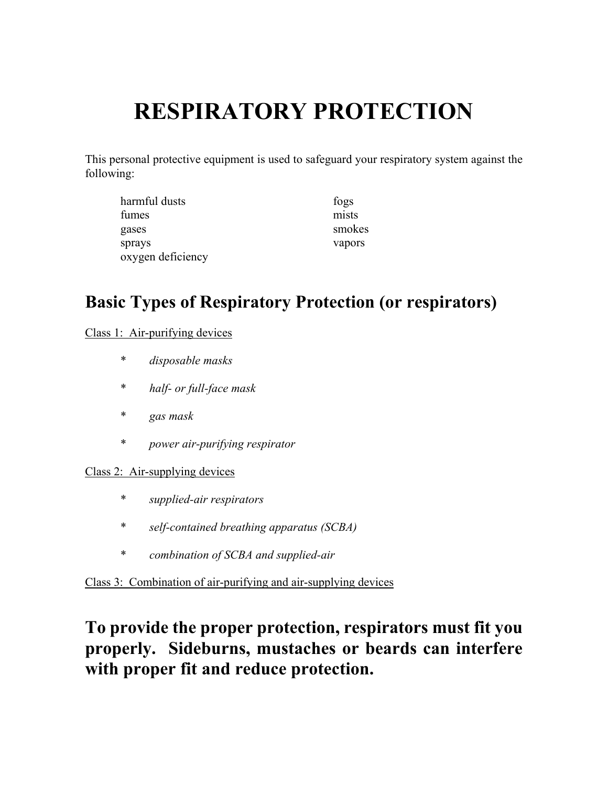# **RESPIRATORY PROTECTION**

This personal protective equipment is used to safeguard your respiratory system against the following:

| harmful dusts     | fogs   |
|-------------------|--------|
| fumes             | mists  |
| gases             | smokes |
| sprays            | vapors |
| oxygen deficiency |        |

### **Basic Types of Respiratory Protection (or respirators)**

Class 1: Air-purifying devices

- \* *disposable masks*
- \* *half- or full-face mask*
- \* *gas mask*
- \* *power air-purifying respirator*

#### Class 2: Air-supplying devices

- \* *supplied-air respirators*
- \* *self-contained breathing apparatus (SCBA)*
- \* *combination of SCBA and supplied-air*

Class 3: Combination of air-purifying and air-supplying devices

### **To provide the proper protection, respirators must fit you properly. Sideburns, mustaches or beards can interfere with proper fit and reduce protection.**